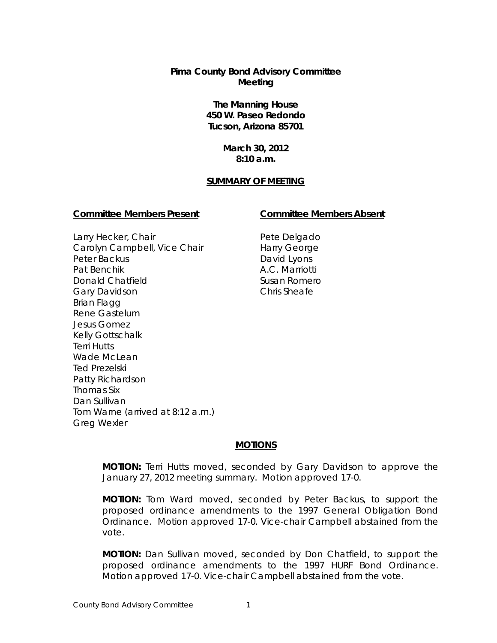# **Pima County Bond Advisory Committee Meeting**

# **The Manning House 450 W. Paseo Redondo Tucson, Arizona 85701**

# **March 30, 2012 8:10 a.m.**

## **SUMMARY OF MEETING**

## **Committee Members Present Committee Members Absent**

Larry Hecker, Chair Carolyn Campbell, Vice Chair Peter Backus Pat Benchik Donald Chatfield Gary Davidson Brian Flagg Rene Gastelum Jesus Gomez Kelly Gottschalk Terri Hutts Wade McLean Ted Prezelski Patty Richardson Thomas Six Dan Sullivan Tom Warne (arrived at 8:12 a.m.) Greg Wexler

Pete Delgado Harry George David Lyons A.C. Marriotti Susan Romero Chris Sheafe

## **MOTIONS**

**MOTION:** Terri Hutts moved, seconded by Gary Davidson to approve the January 27, 2012 meeting summary. Motion approved 17-0.

**MOTION:** Tom Ward moved, seconded by Peter Backus, to support the proposed ordinance amendments to the 1997 General Obligation Bond Ordinance. Motion approved 17-0. Vice-chair Campbell abstained from the vote.

**MOTION:** Dan Sullivan moved, seconded by Don Chatfield, to support the proposed ordinance amendments to the 1997 HURF Bond Ordinance. Motion approved 17-0. Vice-chair Campbell abstained from the vote.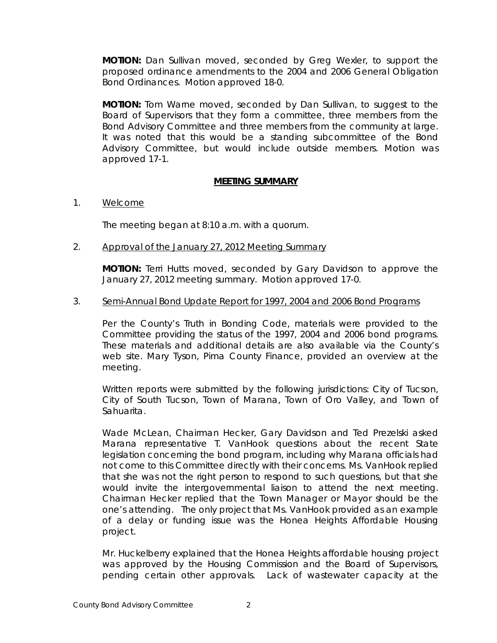**MOTION:** Dan Sullivan moved, seconded by Greg Wexler, to support the proposed ordinance amendments to the 2004 and 2006 General Obligation Bond Ordinances. Motion approved 18-0.

**MOTION:** Tom Warne moved, seconded by Dan Sullivan, to suggest to the Board of Supervisors that they form a committee, three members from the Bond Advisory Committee and three members from the community at large. It was noted that this would be a standing subcommittee of the Bond Advisory Committee, but would include outside members. Motion was approved 17-1.

# **MEETING SUMMARY**

1. Welcome

The meeting began at 8:10 a.m. with a quorum.

2. Approval of the January 27, 2012 Meeting Summary

**MOTION:** Terri Hutts moved, seconded by Gary Davidson to approve the January 27, 2012 meeting summary. Motion approved 17-0.

## 3. Semi-Annual Bond Update Report for 1997, 2004 and 2006 Bond Programs

Per the County's Truth in Bonding Code, materials were provided to the Committee providing the status of the 1997, 2004 and 2006 bond programs. These materials and additional details are also available via the County's web site. Mary Tyson, Pima County Finance, provided an overview at the meeting.

Written reports were submitted by the following jurisdictions: City of Tucson, City of South Tucson, Town of Marana, Town of Oro Valley, and Town of Sahuarita.

Wade McLean, Chairman Hecker, Gary Davidson and Ted Prezelski asked Marana representative T. VanHook questions about the recent State legislation concerning the bond program, including why Marana officials had not come to this Committee directly with their concerns. Ms. VanHook replied that she was not the right person to respond to such questions, but that she would invite the intergovernmental liaison to attend the next meeting. Chairman Hecker replied that the Town Manager or Mayor should be the one's attending. The only project that Ms. VanHook provided as an example of a delay or funding issue was the Honea Heights Affordable Housing project.

Mr. Huckelberry explained that the Honea Heights affordable housing project was approved by the Housing Commission and the Board of Supervisors, pending certain other approvals. Lack of wastewater capacity at the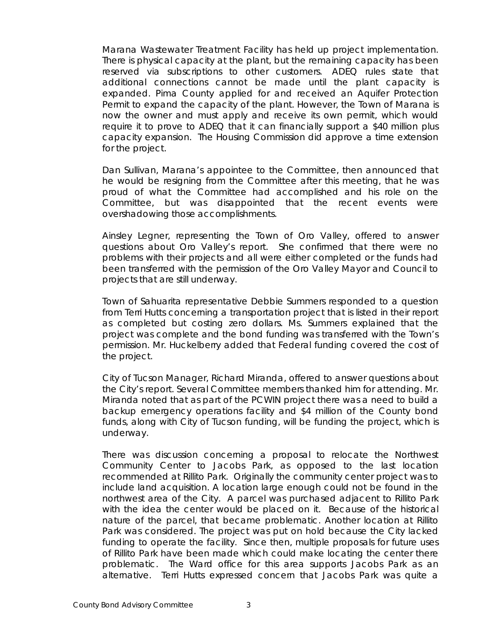Marana Wastewater Treatment Facility has held up project implementation. There is physical capacity at the plant, but the remaining capacity has been reserved via subscriptions to other customers. ADEQ rules state that additional connections cannot be made until the plant capacity is expanded. Pima County applied for and received an Aquifer Protection Permit to expand the capacity of the plant. However, the Town of Marana is now the owner and must apply and receive its own permit, which would require it to prove to ADEQ that it can financially support a \$40 million plus capacity expansion. The Housing Commission did approve a time extension for the project.

Dan Sullivan, Marana's appointee to the Committee, then announced that he would be resigning from the Committee after this meeting, that he was proud of what the Committee had accomplished and his role on the Committee, but was disappointed that the recent events were overshadowing those accomplishments.

Ainsley Legner, representing the Town of Oro Valley, offered to answer questions about Oro Valley's report. She confirmed that there were no problems with their projects and all were either completed or the funds had been transferred with the permission of the Oro Valley Mayor and Council to projects that are still underway.

Town of Sahuarita representative Debbie Summers responded to a question from Terri Hutts concerning a transportation project that is listed in their report as completed but costing zero dollars. Ms. Summers explained that the project was complete and the bond funding was transferred with the Town's permission. Mr. Huckelberry added that Federal funding covered the cost of the project.

City of Tucson Manager, Richard Miranda, offered to answer questions about the City's report. Several Committee members thanked him for attending. Mr. Miranda noted that as part of the PCWIN project there was a need to build a backup emergency operations facility and \$4 million of the County bond funds, along with City of Tucson funding, will be funding the project, which is underway.

There was discussion concerning a proposal to relocate the Northwest Community Center to Jacobs Park, as opposed to the last location recommended at Rillito Park. Originally the community center project was to include land acquisition. A location large enough could not be found in the northwest area of the City. A parcel was purchased adjacent to Rillito Park with the idea the center would be placed on it. Because of the historical nature of the parcel, that became problematic. Another location at Rillito Park was considered. The project was put on hold because the City lacked funding to operate the facility. Since then, multiple proposals for future uses of Rillito Park have been made which could make locating the center there problematic. The Ward office for this area supports Jacobs Park as an alternative. Terri Hutts expressed concern that Jacobs Park was quite a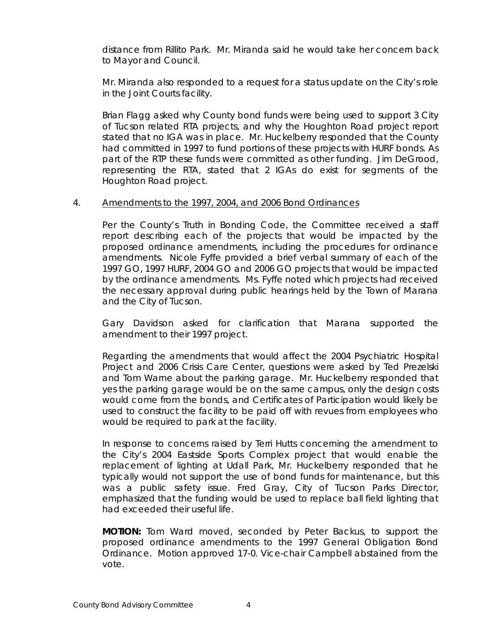distance from Rillito Park. Mr. Miranda said he would take her concern back to Mayor and Council.

Mr. Miranda also responded to a request for a status update on the City's role in the Joint Courts facility.

Brian Flagg asked why County bond funds were being used to support 3 City of Tucson related RTA projects, and why the Houghton Road project report stated that no IGA was in place. Mr. Huckelberry responded that the County had committed in 1997 to fund portions of these projects with HURF bonds. As part of the RTP these funds were committed as other funding. Jim DeGrood, representing the RTA, stated that 2 IGAs do exist for segments of the Houghton Road project.

## 4. Amendments to the 1997, 2004, and 2006 Bond Ordinances

Per the County's Truth in Bonding Code, the Committee received a staff report describing each of the projects that would be impacted by the proposed ordinance amendments, including the procedures for ordinance amendments. Nicole Fyffe provided a brief verbal summary of each of the 1997 GO, 1997 HURF, 2004 GO and 2006 GO projects that would be impacted by the ordinance amendments. Ms. Fyffe noted which projects had received the necessary approval during public hearings held by the Town of Marana and the City of Tucson.

Gary Davidson asked for clarification that Marana supported the amendment to their 1997 project.

Regarding the amendments that would affect the 2004 Psychiatric Hospital Project and 2006 Crisis Care Center, questions were asked by Ted Prezelski and Tom Warne about the parking garage. Mr. Huckelberry responded that yes the parking garage would be on the same campus, only the design costs would come from the bonds, and Certificates of Participation would likely be used to construct the facility to be paid off with revues from employees who would be required to park at the facility.

In response to concerns raised by Terri Hutts concerning the amendment to the City's 2004 Eastside Sports Complex project that would enable the replacement of lighting at Udall Park, Mr. Huckelberry responded that he typically would not support the use of bond funds for maintenance, but this was a public safety issue. Fred Gray, City of Tucson Parks Director, emphasized that the funding would be used to replace ball field lighting that had exceeded their useful life.

**MOTION:** Tom Ward moved, seconded by Peter Backus, to support the proposed ordinance amendments to the 1997 General Obligation Bond Ordinance. Motion approved 17-0. Vice-chair Campbell abstained from the vote.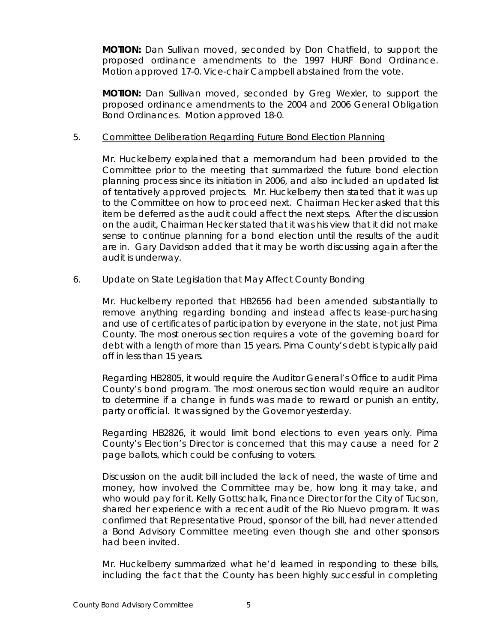**MOTION:** Dan Sullivan moved, seconded by Don Chatfield, to support the proposed ordinance amendments to the 1997 HURF Bond Ordinance. Motion approved 17-0. Vice-chair Campbell abstained from the vote.

**MOTION:** Dan Sullivan moved, seconded by Greg Wexler, to support the proposed ordinance amendments to the 2004 and 2006 General Obligation Bond Ordinances. Motion approved 18-0.

## 5. Committee Deliberation Regarding Future Bond Election Planning

Mr. Huckelberry explained that a memorandum had been provided to the Committee prior to the meeting that summarized the future bond election planning process since its initiation in 2006, and also included an updated list of tentatively approved projects. Mr. Huckelberry then stated that it was up to the Committee on how to proceed next. Chairman Hecker asked that this item be deferred as the audit could affect the next steps. After the discussion on the audit, Chairman Hecker stated that it was his view that it did not make sense to continue planning for a bond election until the results of the audit are in. Gary Davidson added that it may be worth discussing again after the audit is underway.

## 6. Update on State Legislation that May Affect County Bonding

Mr. Huckelberry reported that HB2656 had been amended substantially to remove anything regarding bonding and instead affects lease-purchasing and use of certificates of participation by everyone in the state, not just Pima County. The most onerous section requires a vote of the governing board for debt with a length of more than 15 years. Pima County's debt is typically paid off in less than 15 years.

Regarding HB2805, it would require the Auditor General's Office to audit Pima County's bond program. The most onerous section would require an auditor to determine if a change in funds was made to reward or punish an entity, party or official. It was signed by the Governor yesterday.

Regarding HB2826, it would limit bond elections to even years only. Pima County's Election's Director is concerned that this may cause a need for 2 page ballots, which could be confusing to voters.

Discussion on the audit bill included the lack of need, the waste of time and money, how involved the Committee may be, how long it may take, and who would pay for it. Kelly Gottschalk, Finance Director for the City of Tucson, shared her experience with a recent audit of the Rio Nuevo program. It was confirmed that Representative Proud, sponsor of the bill, had never attended a Bond Advisory Committee meeting even though she and other sponsors had been invited.

Mr. Huckelberry summarized what he'd learned in responding to these bills, including the fact that the County has been highly successful in completing